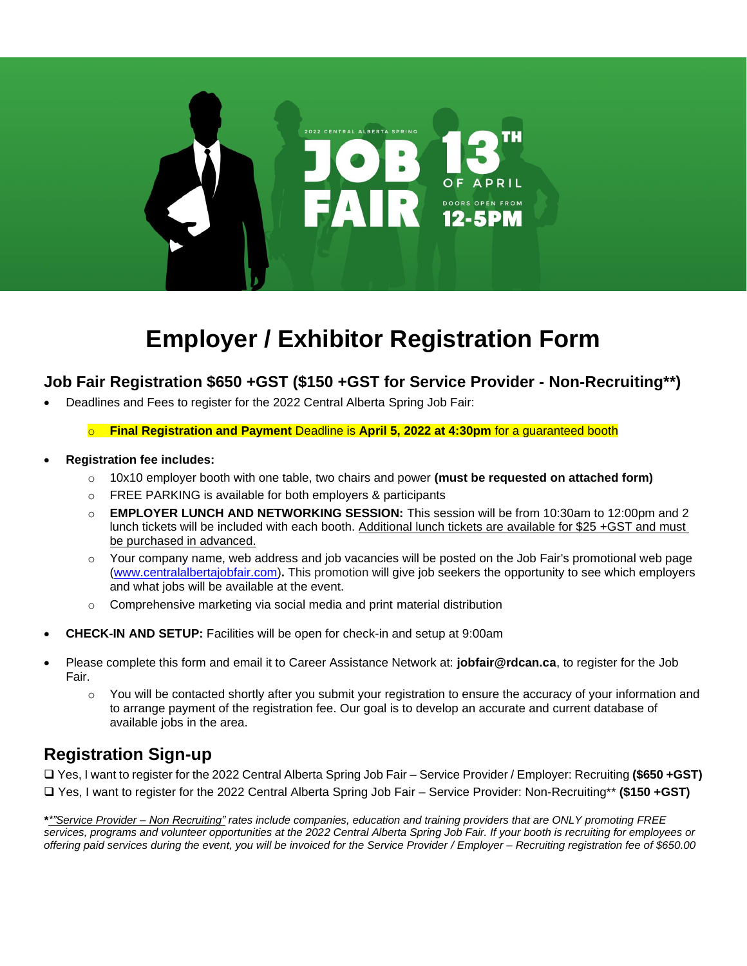

# **Employer / Exhibitor Registration Form**

## **Job Fair Registration \$650 +GST (\$150 +GST for Service Provider - Non-Recruiting\*\*)**

- Deadlines and Fees to register for the 2022 Central Alberta Spring Job Fair:
	- o **Final Registration and Payment** Deadline is **April 5, 2022 at 4:30pm** for a guaranteed booth
- **Registration fee includes:**
	- o 10x10 employer booth with one table, two chairs and power **(must be requested on attached form)**
	- o FREE PARKING is available for both employers & participants
	- o **EMPLOYER LUNCH AND NETWORKING SESSION:** This session will be from 10:30am to 12:00pm and 2 lunch tickets will be included with each booth. Additional lunch tickets are available for \$25 +GST and must be purchased in advanced.
	- $\circ$  Your company name, web address and job vacancies will be posted on the Job Fair's promotional web page [\(www.centralalbertajobfair.com\)](http://www.centralalbertajobfair.com/)**.** This promotion will give job seekers the opportunity to see which employers and what jobs will be available at the event.
	- o Comprehensive marketing via social media and print material distribution
- **CHECK-IN AND SETUP:** Facilities will be open for check-in and setup at 9:00am
- Please complete this form and email it to Career Assistance Network at: **jobfair@rdcan.ca**, to register for the Job Fair.
	- $\circ$  You will be contacted shortly after you submit your registration to ensure the accuracy of your information and to arrange payment of the registration fee. Our goal is to develop an accurate and current database of available jobs in the area.

## **Registration Sign-up**

❑ Yes, I want to register for the 2022 Central Alberta Spring Job Fair – Service Provider / Employer: Recruiting **(\$650 +GST)** ❑ Yes, I want to register for the 2022 Central Alberta Spring Job Fair – Service Provider: Non-Recruiting\*\* **(\$150 +GST)**

*\*\*"Service Provider – Non Recruiting" rates include companies, education and training providers that are ONLY promoting FREE services, programs and volunteer opportunities at the 2022 Central Alberta Spring Job Fair. If your booth is recruiting for employees or offering paid services during the event, you will be invoiced for the Service Provider / Employer – Recruiting registration fee of \$650.00*